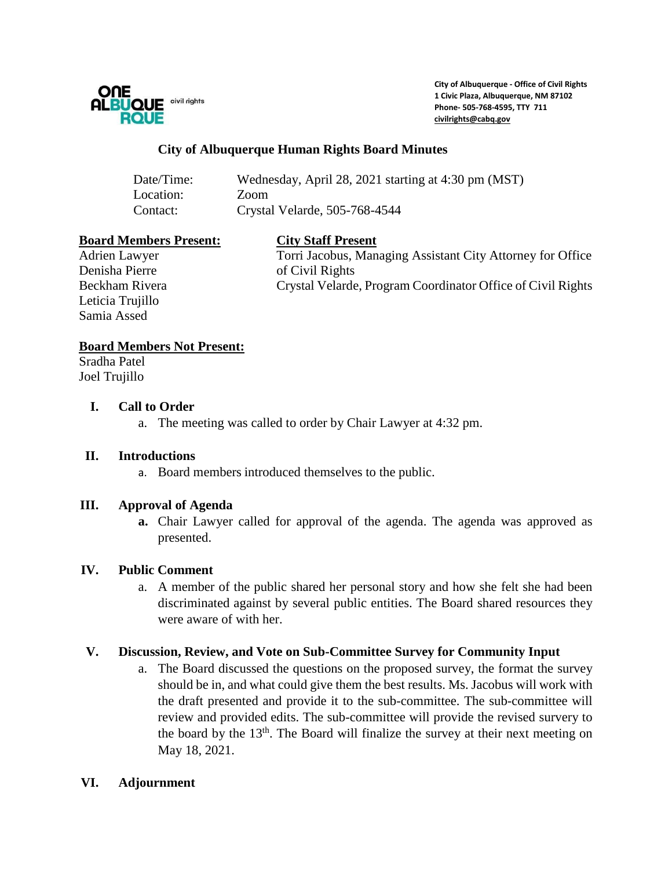

**City of Albuquerque - Office of Civil Rights 1 Civic Plaza, Albuquerque, NM 87102 Phone- 505-768-4595, TTY 711 [civilrights@cabq.gov](mailto:civilrights@cabq.gov)**

## **City of Albuquerque Human Rights Board Minutes**

| Date/Time: | Wednesday, April 28, 2021 starting at 4:30 pm (MST) |
|------------|-----------------------------------------------------|
| Location:  | Zoom                                                |
| Contact:   | Crystal Velarde, 505-768-4544                       |

#### **Board Members Present: City Staff Present**

Denisha Pierre of Civil Rights Leticia Trujillo Samia Assed

Adrien Lawyer Torri Jacobus, Managing Assistant City Attorney for Office Beckham Rivera Crystal Velarde, Program Coordinator Office of Civil Rights

## **Board Members Not Present:**

Sradha Patel Joel Trujillo

### **I. Call to Order**

a. The meeting was called to order by Chair Lawyer at 4:32 pm.

### **II. Introductions**

a. Board members introduced themselves to the public.

### **III. Approval of Agenda**

**a.** Chair Lawyer called for approval of the agenda. The agenda was approved as presented.

# **IV. Public Comment**

a. A member of the public shared her personal story and how she felt she had been discriminated against by several public entities. The Board shared resources they were aware of with her.

### **V. Discussion, Review, and Vote on Sub-Committee Survey for Community Input**

a. The Board discussed the questions on the proposed survey, the format the survey should be in, and what could give them the best results. Ms. Jacobus will work with the draft presented and provide it to the sub-committee. The sub-committee will review and provided edits. The sub-committee will provide the revised survery to the board by the 13<sup>th</sup>. The Board will finalize the survey at their next meeting on May 18, 2021.

### **VI. Adjournment**